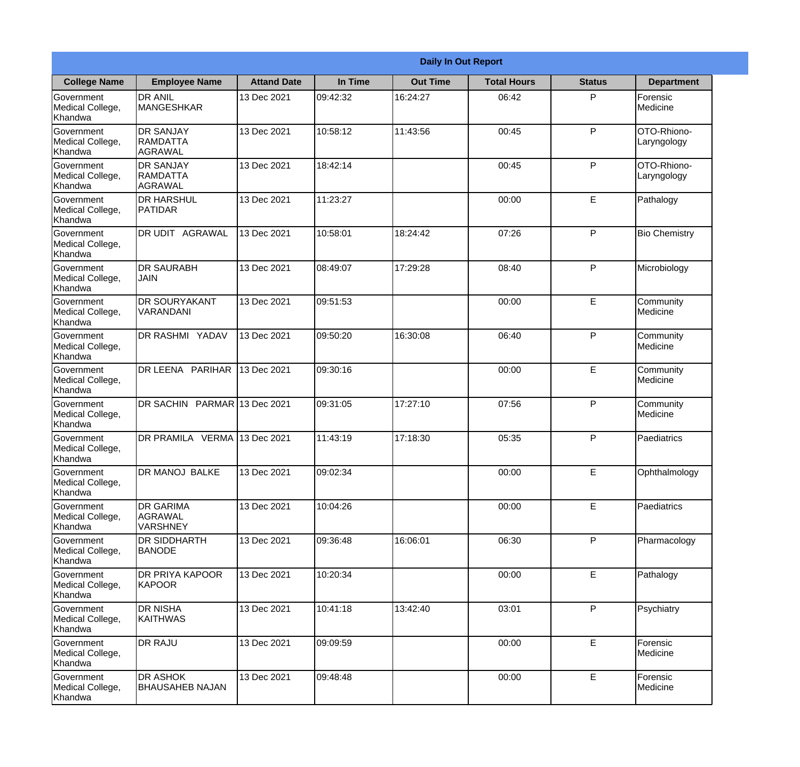|                                                  |                                                |                    | <b>Daily In Out Report</b> |                 |                    |               |                              |  |
|--------------------------------------------------|------------------------------------------------|--------------------|----------------------------|-----------------|--------------------|---------------|------------------------------|--|
| <b>College Name</b>                              | <b>Employee Name</b>                           | <b>Attand Date</b> | In Time                    | <b>Out Time</b> | <b>Total Hours</b> | <b>Status</b> | <b>Department</b>            |  |
| Government<br>Medical College,<br>Khandwa        | <b>DR ANIL</b><br><b>MANGESHKAR</b>            | 13 Dec 2021        | 09:42:32                   | 16:24:27        | 06:42              | P             | Forensic<br><b>Medicine</b>  |  |
| Government<br>Medical College,<br>Khandwa        | <b>DR SANJAY</b><br><b>RAMDATTA</b><br>AGRAWAL | 13 Dec 2021        | 10:58:12                   | 11:43:56        | 00:45              | P             | OTO-Rhiono-<br>Laryngology   |  |
| Government<br>Medical College,<br>Khandwa        | <b>DR SANJAY</b><br>RAMDATTA<br>AGRAWAL        | 13 Dec 2021        | 18:42:14                   |                 | 00:45              | P             | OTO-Rhiono-<br>Laryngology   |  |
| <b>Government</b><br>Medical College,<br>Khandwa | <b>DR HARSHUL</b><br>PATIDAR                   | 13 Dec 2021        | 11:23:27                   |                 | 00:00              | E             | Pathalogy                    |  |
| Government<br>Medical College,<br>Khandwa        | IDR UDIT<br><b>AGRAWAL</b>                     | 13 Dec 2021        | 10:58:01                   | 18:24:42        | 07:26              | P             | <b>Bio Chemistry</b>         |  |
| Government<br>Medical College,<br>Khandwa        | <b>DR SAURABH</b><br><b>JAIN</b>               | 13 Dec 2021        | 08:49:07                   | 17:29:28        | 08:40              | P             | Microbiology                 |  |
| Government<br>Medical College,<br>Khandwa        | <b>IDR SOURYAKANT</b><br>VARANDANI             | 13 Dec 2021        | 09:51:53                   |                 | 00:00              | E             | Community<br>Medicine        |  |
| <b>Government</b><br>Medical College,<br>Khandwa | <b>DR RASHMI YADAV</b>                         | 13 Dec 2021        | 09:50:20                   | 16:30:08        | 06:40              | P             | Community<br>Medicine        |  |
| Government<br>Medical College,<br>Khandwa        | DR LEENA PARIHAR                               | 13 Dec 2021        | 09:30:16                   |                 | 00:00              | E             | Community<br>Medicine        |  |
| Government<br>Medical College,<br>Khandwa        | DR SACHIN PARMAR 13 Dec 2021                   |                    | 09:31:05                   | 17:27:10        | 07:56              | P             | Community<br><b>Medicine</b> |  |
| Government<br>Medical College,<br>Khandwa        | DR PRAMILA VERMA 13 Dec 2021                   |                    | 11:43:19                   | 17:18:30        | 05:35              | P             | Paediatrics                  |  |
| Government<br>Medical College,<br>Khandwa        | DR MANOJ BALKE                                 | 13 Dec 2021        | 09:02:34                   |                 | 00:00              | E.            | Ophthalmology                |  |
| Government<br>Medical College,<br>Khandwa        | <b>DR GARIMA</b><br>AGRAWAL<br><b>VARSHNEY</b> | 13 Dec 2021        | 10:04:26                   |                 | 00:00              | E             | Paediatrics                  |  |
| Government<br>Medical College,<br>Khandwa        | <b>DR SIDDHARTH</b><br><b>BANODE</b>           | 13 Dec 2021        | 09:36:48                   | 16:06:01        | 06:30              | P             | Pharmacology                 |  |
| <b>Government</b><br>Medical College,<br>Khandwa | <b>DR PRIYA KAPOOR</b><br>KAPOOR               | 13 Dec 2021        | 10:20:34                   |                 | 00:00              | E             | Pathalogy                    |  |
| Government<br>Medical College,<br>Khandwa        | <b>DR NISHA</b><br><b>KAITHWAS</b>             | 13 Dec 2021        | 10:41:18                   | 13:42:40        | 03:01              | P             | Psychiatry                   |  |
| Government<br>Medical College,<br>Khandwa        | <b>DR RAJU</b>                                 | 13 Dec 2021        | 09:09:59                   |                 | 00:00              | E             | Forensic<br>Medicine         |  |
| Government<br>Medical College,<br>Khandwa        | <b>DR ASHOK</b><br><b>BHAUSAHEB NAJAN</b>      | 13 Dec 2021        | 09:48:48                   |                 | 00:00              | E             | Forensic<br>Medicine         |  |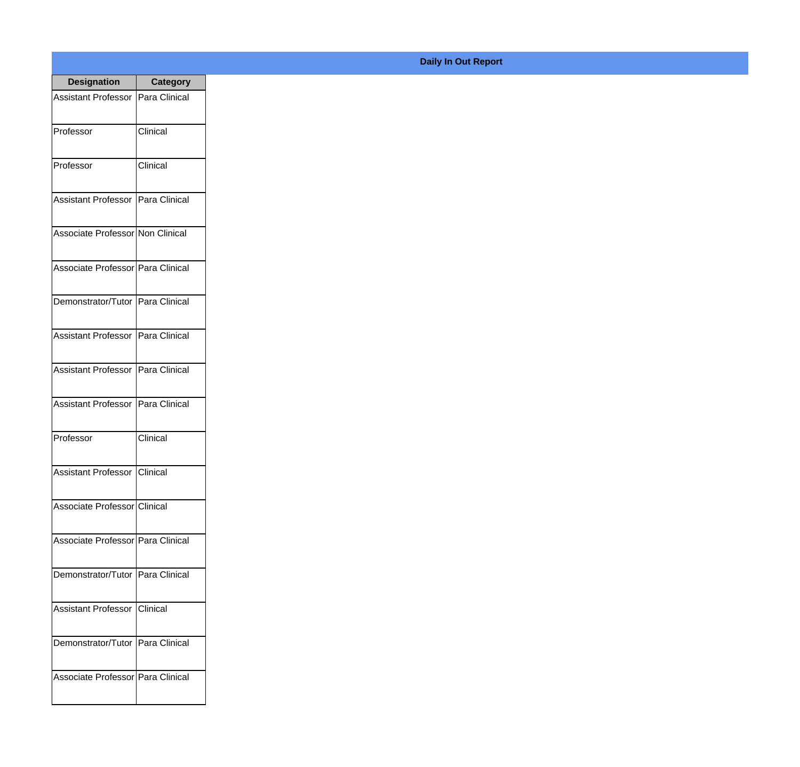| <b>Designation</b>                  | <b>Category</b> |
|-------------------------------------|-----------------|
| Assistant Professor   Para Clinical |                 |
| Professor                           | Clinical        |
| Professor                           | Clinical        |
| Assistant Professor   Para Clinical |                 |
| Associate Professor Non Clinical    |                 |
| Associate Professor   Para Clinical |                 |
| Demonstrator/Tutor   Para Clinical  |                 |
| Assistant Professor   Para Clinical |                 |
| Assistant Professor   Para Clinical |                 |
| <b>Assistant Professor</b>          | Para Clinical   |
| Professor                           | Clinical        |
| <b>Assistant Professor Clinical</b> |                 |
| Associate Professor Clinical        |                 |
| Associate Professor Para Clinical   |                 |
| Demonstrator/Tutor   Para Clinical  |                 |
| <b>Assistant Professor</b>          | <b>Clinical</b> |
| Demonstrator/Tutor   Para Clinical  |                 |
| Associate Professor   Para Clinical |                 |

## **Daily In Out Report**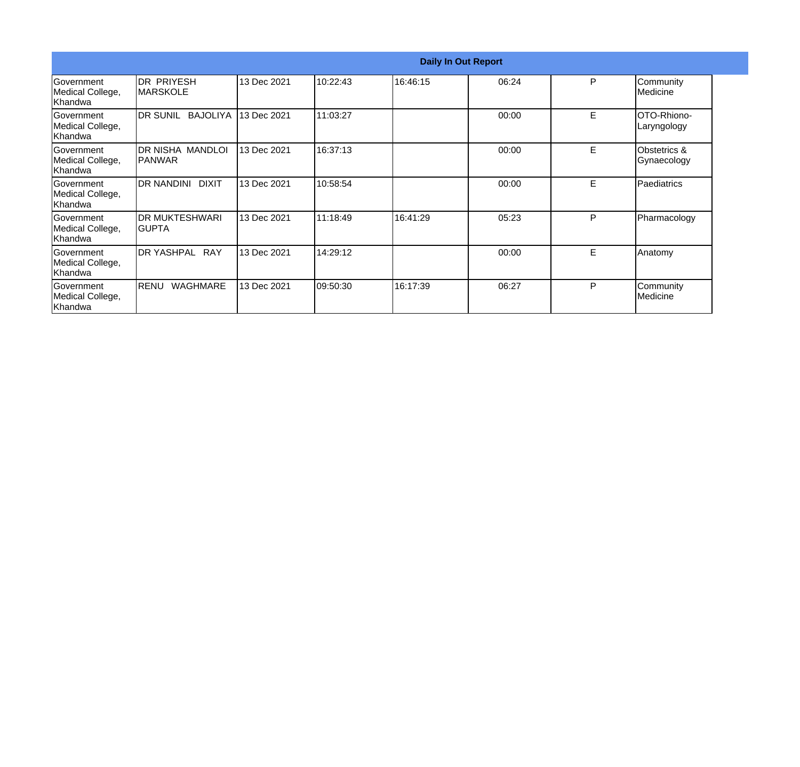|                                                  |                                       |             |           | <b>Daily In Out Report</b> |       |   |                              |
|--------------------------------------------------|---------------------------------------|-------------|-----------|----------------------------|-------|---|------------------------------|
| Government<br>Medical College,<br>Khandwa        | <b>DR PRIYESH</b><br><b>IMARSKOLE</b> | 13 Dec 2021 | 10:22:43  | 16:46:15                   | 06:24 | P | Community<br><b>Medicine</b> |
| Government<br>Medical College,<br>Khandwa        | DR SUNIL<br><b>BAJOLIYA</b>           | 13 Dec 2021 | 11:03:27  |                            | 00:00 | E | OTO-Rhiono-<br>Laryngology   |
| Government<br>Medical College,<br>Khandwa        | DR NISHA MANDLOI<br> PANWAR           | 13 Dec 2021 | 16:37:13  |                            | 00:00 | E | Obstetrics &<br>Gynaecology  |
| Government<br>Medical College,<br>Khandwa        | <b>DR NANDINI</b><br><b>DIXIT</b>     | 13 Dec 2021 | 10:58:54  |                            | 00:00 | E | Paediatrics                  |
| Government<br>Medical College,<br>Khandwa        | <b>DR MUKTESHWARI</b><br>IGUPTA       | 13 Dec 2021 | 11:18:49  | 16:41:29                   | 05:23 | P | Pharmacology                 |
| <b>Government</b><br>Medical College,<br>Khandwa | <b>RAY</b><br><b>DR YASHPAL</b>       | 13 Dec 2021 | 14:29:12  |                            | 00:00 | Е | Anatomy                      |
| Government<br>Medical College,<br>Khandwa        | <b>WAGHMARE</b><br>RENU               | 13 Dec 2021 | 109:50:30 | 16:17:39                   | 06:27 | P | Community<br>Medicine        |